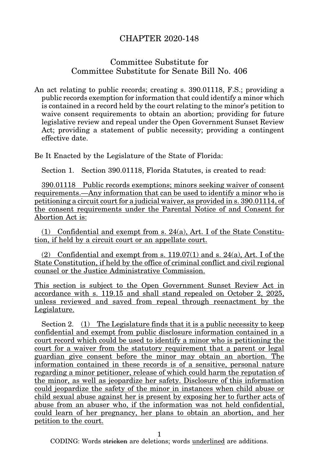## CHAPTER 2020-148

## Committee Substitute for Committee Substitute for Senate Bill No. 406

An act relating to public records; creating s. 390.01118, F.S.; providing a public records exemption for information that could identify a minor which is contained in a record held by the court relating to the minor's petition to waive consent requirements to obtain an abortion; providing for future legislative review and repeal under the Open Government Sunset Review Act; providing a statement of public necessity; providing a contingent effective date.

Be It Enacted by the Legislature of the State of Florida:

Section 1. Section 390.01118, Florida Statutes, is created to read:

390.01118 Public records exemptions; minors seeking waiver of consent requirements.—Any information that can be used to identify a minor who is petitioning a circuit court for a judicial waiver, as provided in s. 390.01114, of the consent requirements under the Parental Notice of and Consent for Abortion Act is:

(1) Confidential and exempt from s. 24(a), Art. I of the State Constitution, if held by a circuit court or an appellate court.

(2) Confidential and exempt from s.  $119.07(1)$  and s.  $24(a)$ , Art. I of the State Constitution, if held by the office of criminal conflict and civil regional counsel or the Justice Administrative Commission.

This section is subject to the Open Government Sunset Review Act in accordance with s. 119.15 and shall stand repealed on October 2, 2025, unless reviewed and saved from repeal through reenactment by the Legislature.

Section 2. (1) The Legislature finds that it is a public necessity to keep confidential and exempt from public disclosure information contained in a court record which could be used to identify a minor who is petitioning the court for a waiver from the statutory requirement that a parent or legal guardian give consent before the minor may obtain an abortion. The information contained in these records is of a sensitive, personal nature regarding a minor petitioner, release of which could harm the reputation of the minor, as well as jeopardize her safety. Disclosure of this information could jeopardize the safety of the minor in instances when child abuse or child sexual abuse against her is present by exposing her to further acts of abuse from an abuser who, if the information was not held confidential, could learn of her pregnancy, her plans to obtain an abortion, and her petition to the court.

1

CODING: Words stricken are deletions; words underlined are additions.